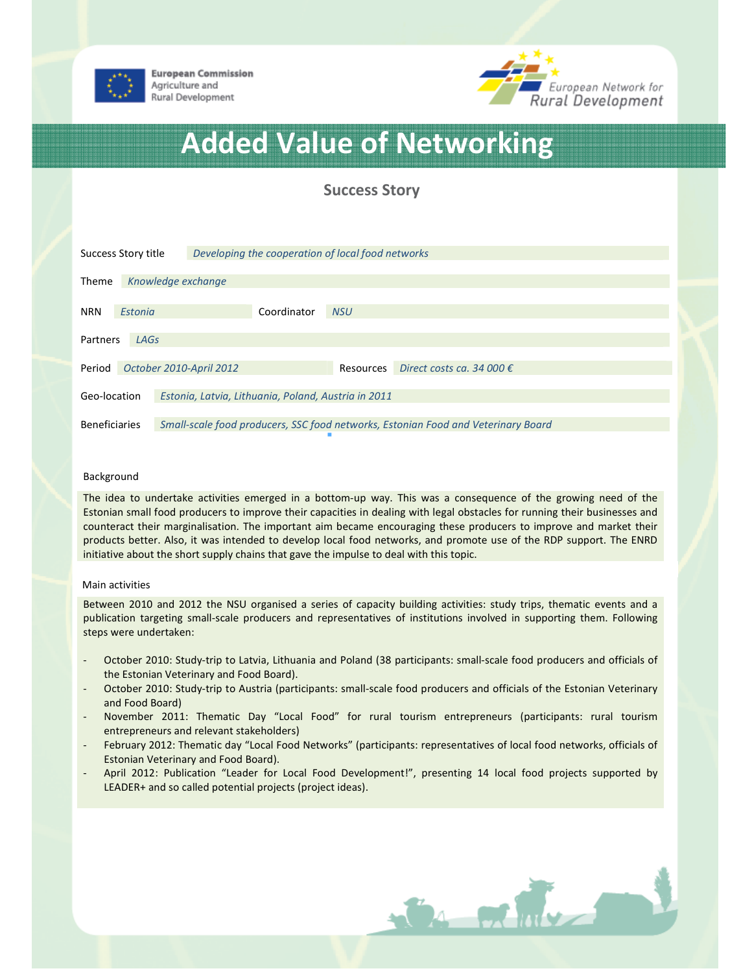



## Added Value of Networking

Success Story

| Success Story title                                                 |                    |  | Developing the cooperation of local food networks |             |            |                                                                                   |  |
|---------------------------------------------------------------------|--------------------|--|---------------------------------------------------|-------------|------------|-----------------------------------------------------------------------------------|--|
| <b>Theme</b>                                                        | Knowledge exchange |  |                                                   |             |            |                                                                                   |  |
| <b>NRN</b>                                                          | Estonia            |  |                                                   | Coordinator | <b>NSU</b> |                                                                                   |  |
| LAGS<br>Partners                                                    |                    |  |                                                   |             |            |                                                                                   |  |
| Period                                                              |                    |  | October 2010-April 2012                           |             | Resources  | Direct costs ca. 34 000 $\epsilon$                                                |  |
| Geo-location<br>Estonia, Latvia, Lithuania, Poland, Austria in 2011 |                    |  |                                                   |             |            |                                                                                   |  |
| <b>Beneficiaries</b>                                                |                    |  |                                                   |             |            | Small-scale food producers, SSC food networks, Estonian Food and Veterinary Board |  |

## Background

The idea to undertake activities emerged in a bottom-up way. This was a consequence of the growing need of the Estonian small food producers to improve their capacities in dealing with legal obstacles for running their businesses and counteract their marginalisation. The important aim became encouraging these producers to improve and market their products better. Also, it was intended to develop local food networks, and promote use of the RDP support. The ENRD initiative about the short supply chains that gave the impulse to deal with this topic.

## Main activities

Between 2010 and 2012 the NSU organised a series of capacity building activities: study trips, thematic events and a publication targeting small-scale producers and representatives of institutions involved in supporting them. Following steps were undertaken:

- October 2010: Study-trip to Latvia, Lithuania and Poland (38 participants: small-scale food producers and officials of the Estonian Veterinary and Food Board).
- October 2010: Study-trip to Austria (participants: small-scale food producers and officials of the Estonian Veterinary and Food Board)
- November 2011: Thematic Day "Local Food" for rural tourism entrepreneurs (participants: rural tourism entrepreneurs and relevant stakeholders)
- February 2012: Thematic day "Local Food Networks" (participants: representatives of local food networks, officials of Estonian Veterinary and Food Board).
- April 2012: Publication "Leader for Local Food Development!", presenting 14 local food projects supported by LEADER+ and so called potential projects (project ideas).